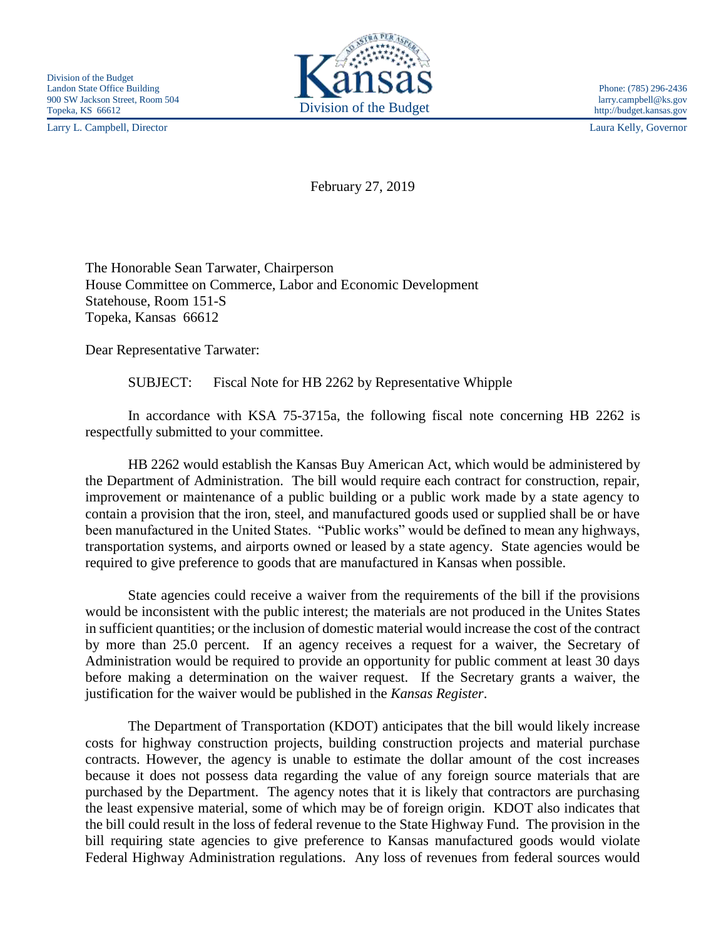Larry L. Campbell, Director Laura Kelly, Governor



http://budget.kansas.gov

February 27, 2019

The Honorable Sean Tarwater, Chairperson House Committee on Commerce, Labor and Economic Development Statehouse, Room 151-S Topeka, Kansas 66612

Dear Representative Tarwater:

SUBJECT: Fiscal Note for HB 2262 by Representative Whipple

In accordance with KSA 75-3715a, the following fiscal note concerning HB 2262 is respectfully submitted to your committee.

HB 2262 would establish the Kansas Buy American Act, which would be administered by the Department of Administration. The bill would require each contract for construction, repair, improvement or maintenance of a public building or a public work made by a state agency to contain a provision that the iron, steel, and manufactured goods used or supplied shall be or have been manufactured in the United States. "Public works" would be defined to mean any highways, transportation systems, and airports owned or leased by a state agency. State agencies would be required to give preference to goods that are manufactured in Kansas when possible.

State agencies could receive a waiver from the requirements of the bill if the provisions would be inconsistent with the public interest; the materials are not produced in the Unites States in sufficient quantities; or the inclusion of domestic material would increase the cost of the contract by more than 25.0 percent. If an agency receives a request for a waiver, the Secretary of Administration would be required to provide an opportunity for public comment at least 30 days before making a determination on the waiver request. If the Secretary grants a waiver, the justification for the waiver would be published in the *Kansas Register*.

The Department of Transportation (KDOT) anticipates that the bill would likely increase costs for highway construction projects, building construction projects and material purchase contracts. However, the agency is unable to estimate the dollar amount of the cost increases because it does not possess data regarding the value of any foreign source materials that are purchased by the Department. The agency notes that it is likely that contractors are purchasing the least expensive material, some of which may be of foreign origin. KDOT also indicates that the bill could result in the loss of federal revenue to the State Highway Fund. The provision in the bill requiring state agencies to give preference to Kansas manufactured goods would violate Federal Highway Administration regulations. Any loss of revenues from federal sources would